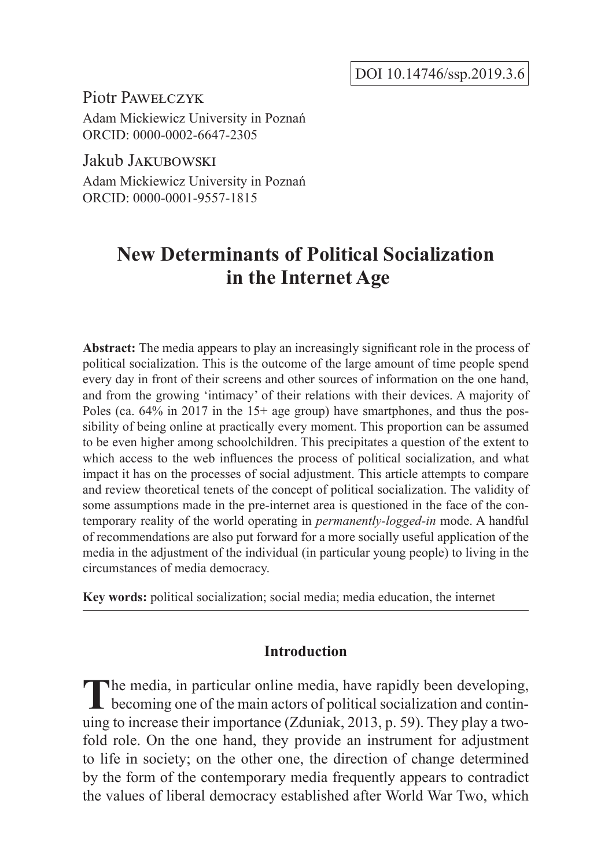Piotr Pawełczyk Adam Mickiewicz University in Poznań ORCID: 0000-0002-6647-2305

Jakub Jakubowski Adam Mickiewicz University in Poznań ORCID: 0000-0001-9557-1815

# **New Determinants of Political Socialization in the Internet Age**

**Abstract:** The media appears to play an increasingly significant role in the process of political socialization. This is the outcome of the large amount of time people spend every day in front of their screens and other sources of information on the one hand, and from the growing 'intimacy' of their relations with their devices. A majority of Poles (ca. 64% in 2017 in the 15+ age group) have smartphones, and thus the possibility of being online at practically every moment. This proportion can be assumed to be even higher among schoolchildren. This precipitates a question of the extent to which access to the web influences the process of political socialization, and what impact it has on the processes of social adjustment. This article attempts to compare and review theoretical tenets of the concept of political socialization. The validity of some assumptions made in the pre-internet area is questioned in the face of the contemporary reality of the world operating in *permanently-logged-in* mode. A handful of recommendations are also put forward for a more socially useful application of the media in the adjustment of the individual (in particular young people) to living in the circumstances of media democracy.

**Key words:** political socialization; social media; media education, the internet

# **Introduction**

The media, in particular online media, have rapidly been developing, becoming one of the main actors of political socialization and continuing to increase their importance (Zduniak, 2013, p. 59). They play a twofold role. On the one hand, they provide an instrument for adjustment to life in society; on the other one, the direction of change determined by the form of the contemporary media frequently appears to contradict the values of liberal democracy established after World War Two, which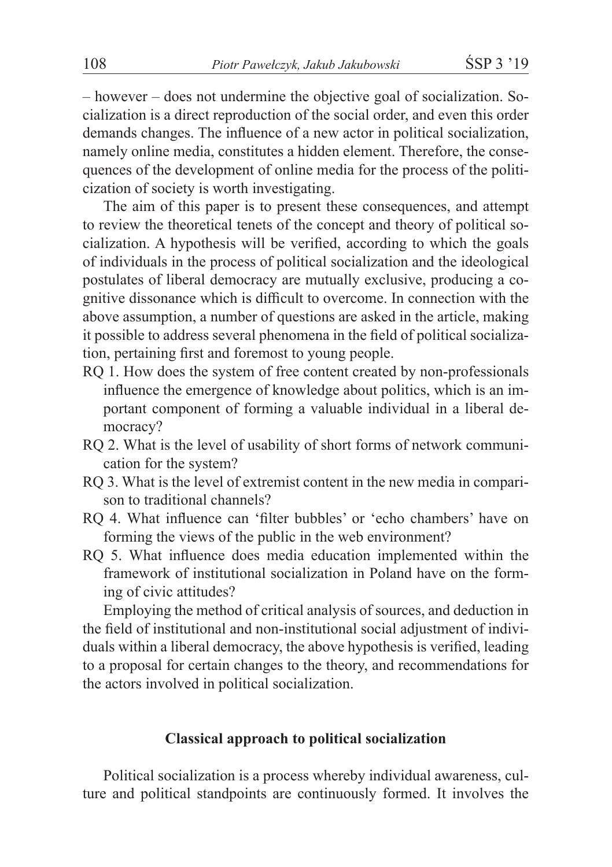– however – does not undermine the objective goal of socialization. Socialization is a direct reproduction of the social order, and even this order demands changes. The influence of a new actor in political socialization, namely online media, constitutes a hidden element. Therefore, the consequences of the development of online media for the process of the politicization of society is worth investigating.

The aim of this paper is to present these consequences, and attempt to review the theoretical tenets of the concept and theory of political socialization. A hypothesis will be verified, according to which the goals of individuals in the process of political socialization and the ideological postulates of liberal democracy are mutually exclusive, producing a cognitive dissonance which is difficult to overcome. In connection with the above assumption, a number of questions are asked in the article, making it possible to address several phenomena in the field of political socialization, pertaining first and foremost to young people.

- RQ 1. How does the system of free content created by non-professionals influence the emergence of knowledge about politics, which is an important component of forming a valuable individual in a liberal democracy?
- RQ 2. What is the level of usability of short forms of network communication for the system?
- RQ 3. What is the level of extremist content in the new media in comparison to traditional channels?
- RQ 4. What influence can 'filter bubbles' or 'echo chambers' have on forming the views of the public in the web environment?
- RQ 5. What influence does media education implemented within the framework of institutional socialization in Poland have on the forming of civic attitudes?

Employing the method of critical analysis of sources, and deduction in the field of institutional and non-institutional social adjustment of individuals within a liberal democracy, the above hypothesis is verified, leading to a proposal for certain changes to the theory, and recommendations for the actors involved in political socialization.

# **Classical approach to political socialization**

Political socialization is a process whereby individual awareness, culture and political standpoints are continuously formed. It involves the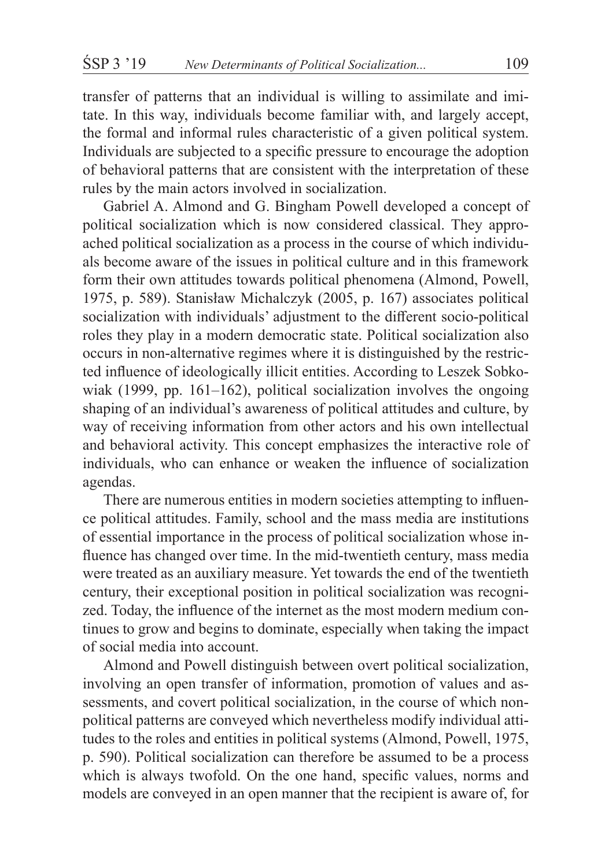transfer of patterns that an individual is willing to assimilate and imitate. In this way, individuals become familiar with, and largely accept, the formal and informal rules characteristic of a given political system. Individuals are subjected to a specific pressure to encourage the adoption of behavioral patterns that are consistent with the interpretation of these rules by the main actors involved in socialization.

Gabriel A. Almond and G. Bingham Powell developed a concept of political socialization which is now considered classical. They approached political socialization as a process in the course of which individuals become aware of the issues in political culture and in this framework form their own attitudes towards political phenomena (Almond, Powell, 1975, p. 589). Stanisław Michalczyk (2005, p. 167) associates political socialization with individuals' adjustment to the different socio-political roles they play in a modern democratic state. Political socialization also occurs in non-alternative regimes where it is distinguished by the restricted influence of ideologically illicit entities. According to Leszek Sobkowiak (1999, pp. 161–162), political socialization involves the ongoing shaping of an individual's awareness of political attitudes and culture, by way of receiving information from other actors and his own intellectual and behavioral activity. This concept emphasizes the interactive role of individuals, who can enhance or weaken the influence of socialization agendas.

There are numerous entities in modern societies attempting to influence political attitudes. Family, school and the mass media are institutions of essential importance in the process of political socialization whose influence has changed over time. In the mid-twentieth century, mass media were treated as an auxiliary measure. Yet towards the end of the twentieth century, their exceptional position in political socialization was recognized. Today, the influence of the internet as the most modern medium continues to grow and begins to dominate, especially when taking the impact of social media into account.

Almond and Powell distinguish between overt political socialization, involving an open transfer of information, promotion of values and assessments, and covert political socialization, in the course of which nonpolitical patterns are conveyed which nevertheless modify individual attitudes to the roles and entities in political systems (Almond, Powell, 1975, p. 590). Political socialization can therefore be assumed to be a process which is always twofold. On the one hand, specific values, norms and models are conveyed in an open manner that the recipient is aware of, for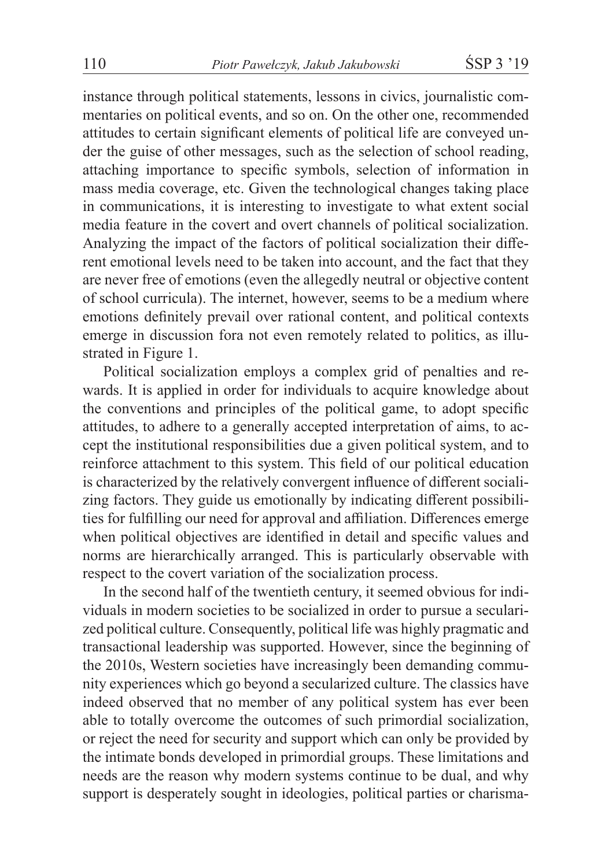instance through political statements, lessons in civics, journalistic commentaries on political events, and so on. On the other one, recommended attitudes to certain significant elements of political life are conveyed under the guise of other messages, such as the selection of school reading, attaching importance to specific symbols, selection of information in mass media coverage, etc. Given the technological changes taking place in communications, it is interesting to investigate to what extent social media feature in the covert and overt channels of political socialization. Analyzing the impact of the factors of political socialization their different emotional levels need to be taken into account, and the fact that they are never free of emotions (even the allegedly neutral or objective content of school curricula). The internet, however, seems to be a medium where emotions definitely prevail over rational content, and political contexts emerge in discussion fora not even remotely related to politics, as illustrated in Figure 1.

Political socialization employs a complex grid of penalties and rewards. It is applied in order for individuals to acquire knowledge about the conventions and principles of the political game, to adopt specific attitudes, to adhere to a generally accepted interpretation of aims, to accept the institutional responsibilities due a given political system, and to reinforce attachment to this system. This field of our political education is characterized by the relatively convergent influence of different socializing factors. They guide us emotionally by indicating different possibilities for fulfilling our need for approval and affiliation. Differences emerge when political objectives are identified in detail and specific values and norms are hierarchically arranged. This is particularly observable with respect to the covert variation of the socialization process.

In the second half of the twentieth century, it seemed obvious for individuals in modern societies to be socialized in order to pursue a secularized political culture. Consequently, political life was highly pragmatic and transactional leadership was supported. However, since the beginning of the 2010s, Western societies have increasingly been demanding community experiences which go beyond a secularized culture. The classics have indeed observed that no member of any political system has ever been able to totally overcome the outcomes of such primordial socialization, or reject the need for security and support which can only be provided by the intimate bonds developed in primordial groups. These limitations and needs are the reason why modern systems continue to be dual, and why support is desperately sought in ideologies, political parties or charisma-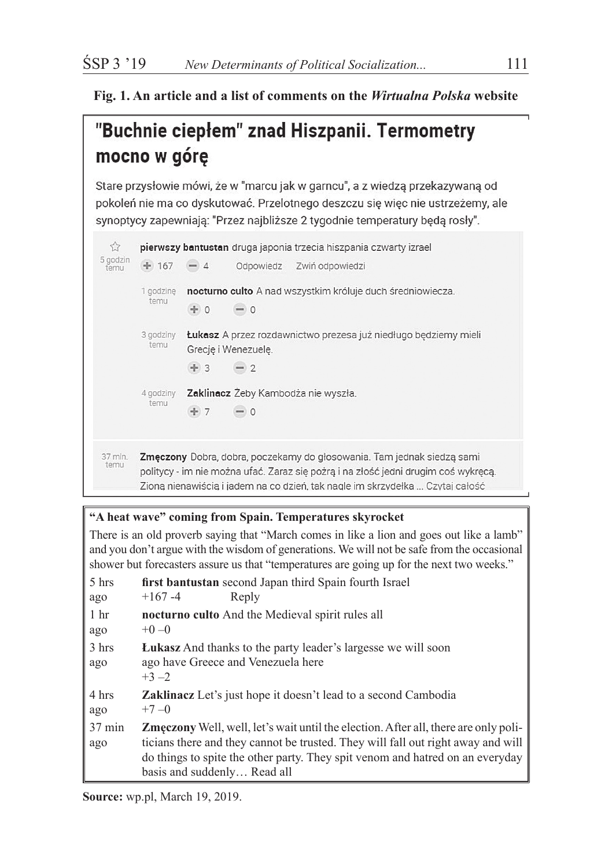#### **Fig. 1. An article and a list of comments on the** *Wirtualna Polska* **website**

# "Buchnie ciepłem" znad Hiszpanii. Termometry mocno w góre

Stare przysłowie mówi, że w "marcu jak w garncu", a z wiedzą przekazywaną od pokoleń nie ma co dyskutować. Przelotnego deszczu się więc nie ustrzeżemy, ale synoptycy zapewniają: "Przez najbliższe 2 tygodnie temperatury będą rosły".



#### **"A heat wave" coming from Spain. Temperatures skyrocket**

There is an old proverb saying that "March comes in like a lion and goes out like a lamb" and you don't argue with the wisdom of generations. We will not be safe from the occasional shower but forecasters assure us that "temperatures are going up for the next two weeks."

| 5 hrs<br>ago            | first bantustan second Japan third Spain fourth Israel<br>$+167 - 4$<br>Reply                                                                                                                                                                                                                  |  |  |  |  |  |
|-------------------------|------------------------------------------------------------------------------------------------------------------------------------------------------------------------------------------------------------------------------------------------------------------------------------------------|--|--|--|--|--|
| 1 <sub>hr</sub><br>ago  | nocturno culto And the Medieval spirit rules all<br>$+0-0$                                                                                                                                                                                                                                     |  |  |  |  |  |
| 3 hrs<br>ago            | <b>Lukasz</b> And thanks to the party leader's largesse we will soon<br>ago have Greece and Venezuela here<br>$+3 - 2$                                                                                                                                                                         |  |  |  |  |  |
| 4 hrs<br>ago            | <b>Zaklinacz</b> Let's just hope it doesn't lead to a second Cambodia<br>$+7-0$                                                                                                                                                                                                                |  |  |  |  |  |
| $37 \text{ min}$<br>ago | <b>Zmeczony</b> Well, well, let's wait until the election. After all, there are only poli-<br>ticians there and they cannot be trusted. They will fall out right away and will<br>do things to spite the other party. They spit venom and hatred on an everyday<br>basis and suddenly Read all |  |  |  |  |  |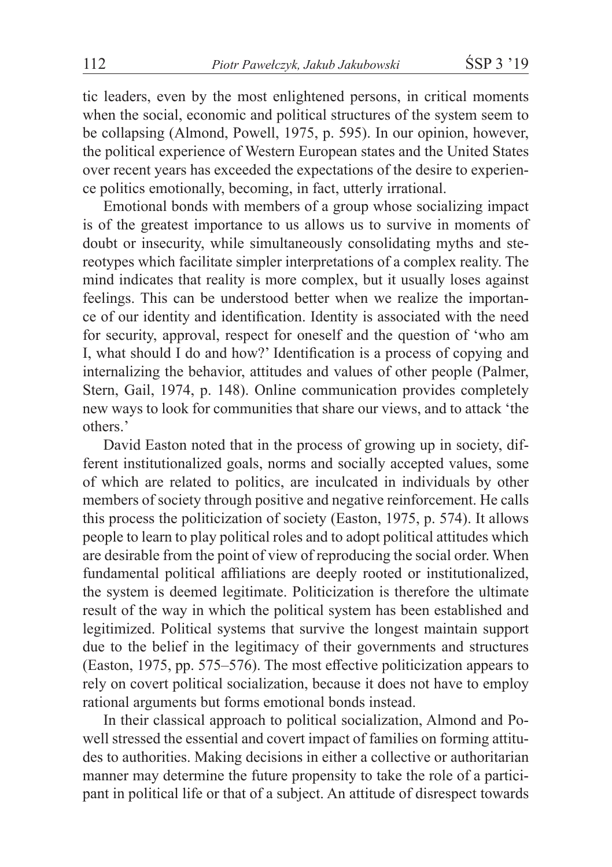tic leaders, even by the most enlightened persons, in critical moments when the social, economic and political structures of the system seem to be collapsing (Almond, Powell, 1975, p. 595). In our opinion, however, the political experience of Western European states and the United States over recent years has exceeded the expectations of the desire to experience politics emotionally, becoming, in fact, utterly irrational.

Emotional bonds with members of a group whose socializing impact is of the greatest importance to us allows us to survive in moments of doubt or insecurity, while simultaneously consolidating myths and stereotypes which facilitate simpler interpretations of a complex reality. The mind indicates that reality is more complex, but it usually loses against feelings. This can be understood better when we realize the importance of our identity and identification. Identity is associated with the need for security, approval, respect for oneself and the question of 'who am I, what should I do and how?' Identification is a process of copying and internalizing the behavior, attitudes and values of other people (Palmer, Stern, Gail, 1974, p. 148). Online communication provides completely new ways to look for communities that share our views, and to attack 'the others.'

David Easton noted that in the process of growing up in society, different institutionalized goals, norms and socially accepted values, some of which are related to politics, are inculcated in individuals by other members of society through positive and negative reinforcement. He calls this process the politicization of society (Easton, 1975, p. 574). It allows people to learn to play political roles and to adopt political attitudes which are desirable from the point of view of reproducing the social order. When fundamental political affiliations are deeply rooted or institutionalized, the system is deemed legitimate. Politicization is therefore the ultimate result of the way in which the political system has been established and legitimized. Political systems that survive the longest maintain support due to the belief in the legitimacy of their governments and structures (Easton, 1975, pp. 575–576). The most effective politicization appears to rely on covert political socialization, because it does not have to employ rational arguments but forms emotional bonds instead.

In their classical approach to political socialization, Almond and Powell stressed the essential and covert impact of families on forming attitudes to authorities. Making decisions in either a collective or authoritarian manner may determine the future propensity to take the role of a participant in political life or that of a subject. An attitude of disrespect towards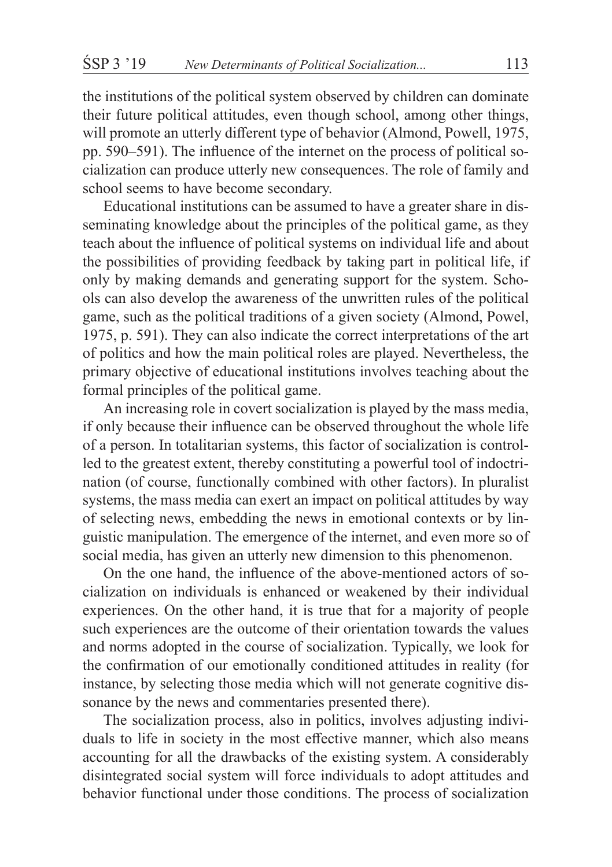the institutions of the political system observed by children can dominate their future political attitudes, even though school, among other things, will promote an utterly different type of behavior (Almond, Powell, 1975, pp. 590–591). The influence of the internet on the process of political socialization can produce utterly new consequences. The role of family and school seems to have become secondary.

Educational institutions can be assumed to have a greater share in disseminating knowledge about the principles of the political game, as they teach about the influence of political systems on individual life and about the possibilities of providing feedback by taking part in political life, if only by making demands and generating support for the system. Schools can also develop the awareness of the unwritten rules of the political game, such as the political traditions of a given society (Almond, Powel, 1975, p. 591). They can also indicate the correct interpretations of the art of politics and how the main political roles are played. Nevertheless, the primary objective of educational institutions involves teaching about the formal principles of the political game.

An increasing role in covert socialization is played by the mass media, if only because their influence can be observed throughout the whole life of a person. In totalitarian systems, this factor of socialization is controlled to the greatest extent, thereby constituting a powerful tool of indoctrination (of course, functionally combined with other factors). In pluralist systems, the mass media can exert an impact on political attitudes by way of selecting news, embedding the news in emotional contexts or by linguistic manipulation. The emergence of the internet, and even more so of social media, has given an utterly new dimension to this phenomenon.

On the one hand, the influence of the above-mentioned actors of socialization on individuals is enhanced or weakened by their individual experiences. On the other hand, it is true that for a majority of people such experiences are the outcome of their orientation towards the values and norms adopted in the course of socialization. Typically, we look for the confirmation of our emotionally conditioned attitudes in reality (for instance, by selecting those media which will not generate cognitive dissonance by the news and commentaries presented there).

The socialization process, also in politics, involves adjusting individuals to life in society in the most effective manner, which also means accounting for all the drawbacks of the existing system. A considerably disintegrated social system will force individuals to adopt attitudes and behavior functional under those conditions. The process of socialization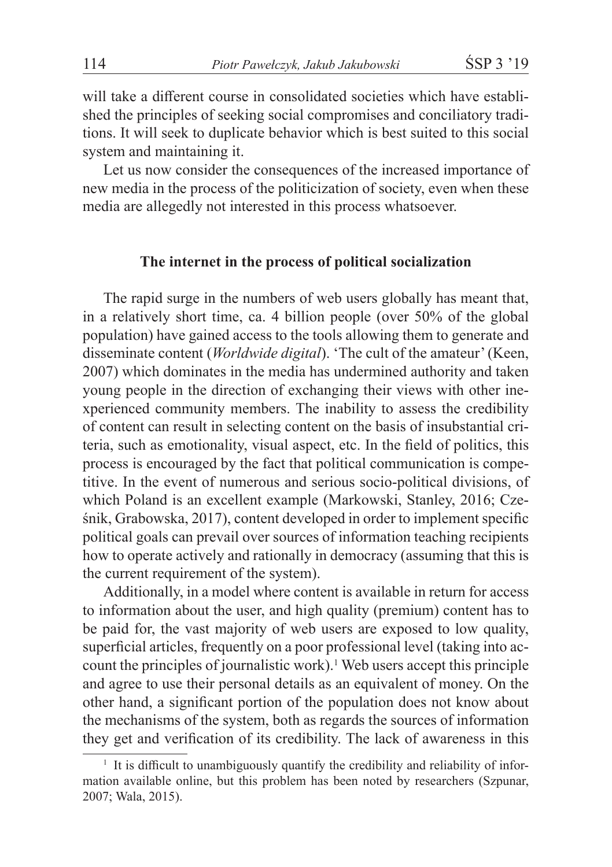will take a different course in consolidated societies which have established the principles of seeking social compromises and conciliatory traditions. It will seek to duplicate behavior which is best suited to this social system and maintaining it.

Let us now consider the consequences of the increased importance of new media in the process of the politicization of society, even when these media are allegedly not interested in this process whatsoever.

#### **The internet in the process of political socialization**

The rapid surge in the numbers of web users globally has meant that, in a relatively short time, ca. 4 billion people (over 50% of the global population) have gained access to the tools allowing them to generate and disseminate content (*Worldwide digital*). 'The cult of the amateur' (Keen, 2007) which dominates in the media has undermined authority and taken young people in the direction of exchanging their views with other inexperienced community members. The inability to assess the credibility of content can result in selecting content on the basis of insubstantial criteria, such as emotionality, visual aspect, etc. In the field of politics, this process is encouraged by the fact that political communication is competitive. In the event of numerous and serious socio-political divisions, of which Poland is an excellent example (Markowski, Stanley, 2016; Cześnik, Grabowska, 2017), content developed in order to implement specific political goals can prevail over sources of information teaching recipients how to operate actively and rationally in democracy (assuming that this is the current requirement of the system).

Additionally, in a model where content is available in return for access to information about the user, and high quality (premium) content has to be paid for, the vast majority of web users are exposed to low quality, superficial articles, frequently on a poor professional level (taking into account the principles of journalistic work).<sup>1</sup> Web users accept this principle and agree to use their personal details as an equivalent of money. On the other hand, a significant portion of the population does not know about the mechanisms of the system, both as regards the sources of information they get and verification of its credibility. The lack of awareness in this

<sup>&</sup>lt;sup>1</sup> It is difficult to unambiguously quantify the credibility and reliability of information available online, but this problem has been noted by researchers (Szpunar, 2007; Wala, 2015).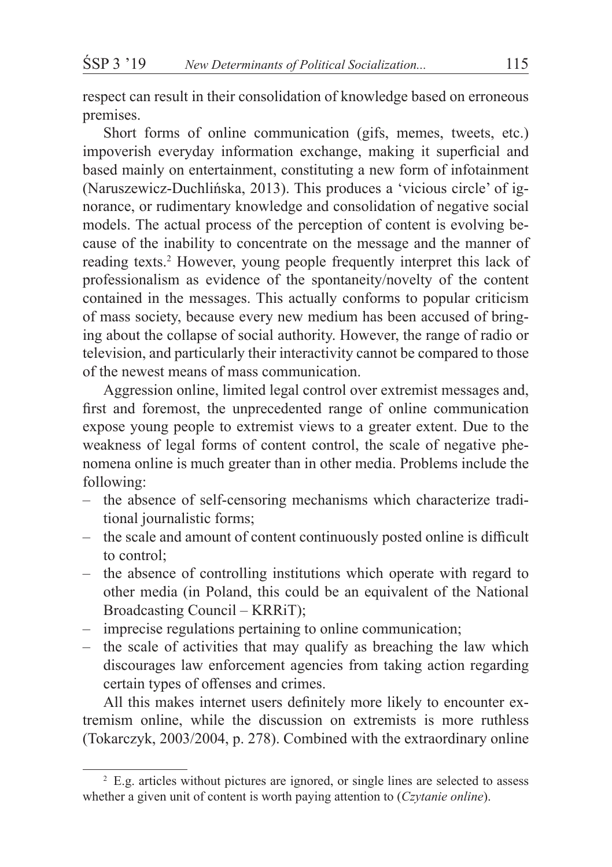respect can result in their consolidation of knowledge based on erroneous premises.

Short forms of online communication (gifs, memes, tweets, etc.) impoverish everyday information exchange, making it superficial and based mainly on entertainment, constituting a new form of infotainment (Naruszewicz-Duchlińska, 2013). This produces a 'vicious circle' of ignorance, or rudimentary knowledge and consolidation of negative social models. The actual process of the perception of content is evolving because of the inability to concentrate on the message and the manner of reading texts.<sup>2</sup> However, young people frequently interpret this lack of professionalism as evidence of the spontaneity/novelty of the content contained in the messages. This actually conforms to popular criticism of mass society, because every new medium has been accused of bringing about the collapse of social authority. However, the range of radio or television, and particularly their interactivity cannot be compared to those of the newest means of mass communication.

Aggression online, limited legal control over extremist messages and, first and foremost, the unprecedented range of online communication expose young people to extremist views to a greater extent. Due to the weakness of legal forms of content control, the scale of negative phenomena online is much greater than in other media. Problems include the following:

- the absence of self-censoring mechanisms which characterize traditional journalistic forms;
- the scale and amount of content continuously posted online is difficult to control;
- the absence of controlling institutions which operate with regard to other media (in Poland, this could be an equivalent of the National Broadcasting Council – KRRiT);
- imprecise regulations pertaining to online communication;
- the scale of activities that may qualify as breaching the law which discourages law enforcement agencies from taking action regarding certain types of offenses and crimes.

All this makes internet users definitely more likely to encounter extremism online, while the discussion on extremists is more ruthless (Tokarczyk, 2003/2004, p. 278). Combined with the extraordinary online

<sup>&</sup>lt;sup>2</sup> E.g. articles without pictures are ignored, or single lines are selected to assess whether a given unit of content is worth paying attention to (*Czytanie online*).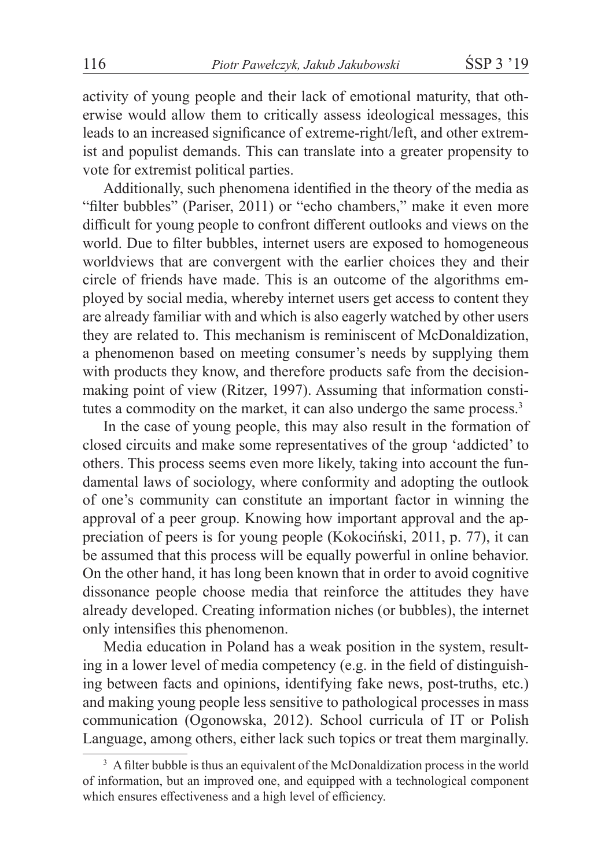activity of young people and their lack of emotional maturity, that otherwise would allow them to critically assess ideological messages, this leads to an increased significance of extreme-right/left, and other extremist and populist demands. This can translate into a greater propensity to vote for extremist political parties.

Additionally, such phenomena identified in the theory of the media as "filter bubbles" (Pariser, 2011) or "echo chambers," make it even more difficult for young people to confront different outlooks and views on the world. Due to filter bubbles, internet users are exposed to homogeneous worldviews that are convergent with the earlier choices they and their circle of friends have made. This is an outcome of the algorithms employed by social media, whereby internet users get access to content they are already familiar with and which is also eagerly watched by other users they are related to. This mechanism is reminiscent of McDonaldization, a phenomenon based on meeting consumer's needs by supplying them with products they know, and therefore products safe from the decisionmaking point of view (Ritzer, 1997). Assuming that information constitutes a commodity on the market, it can also undergo the same process.<sup>3</sup>

In the case of young people, this may also result in the formation of closed circuits and make some representatives of the group 'addicted' to others. This process seems even more likely, taking into account the fundamental laws of sociology, where conformity and adopting the outlook of one's community can constitute an important factor in winning the approval of a peer group. Knowing how important approval and the appreciation of peers is for young people (Kokociński, 2011, p. 77), it can be assumed that this process will be equally powerful in online behavior. On the other hand, it has long been known that in order to avoid cognitive dissonance people choose media that reinforce the attitudes they have already developed. Creating information niches (or bubbles), the internet only intensifies this phenomenon.

Media education in Poland has a weak position in the system, resulting in a lower level of media competency (e.g. in the field of distinguishing between facts and opinions, identifying fake news, post-truths, etc.) and making young people less sensitive to pathological processes in mass communication (Ogonowska, 2012). School curricula of IT or Polish Language, among others, either lack such topics or treat them marginally.

<sup>&</sup>lt;sup>3</sup> A filter bubble is thus an equivalent of the McDonaldization process in the world of information, but an improved one, and equipped with a technological component which ensures effectiveness and a high level of efficiency.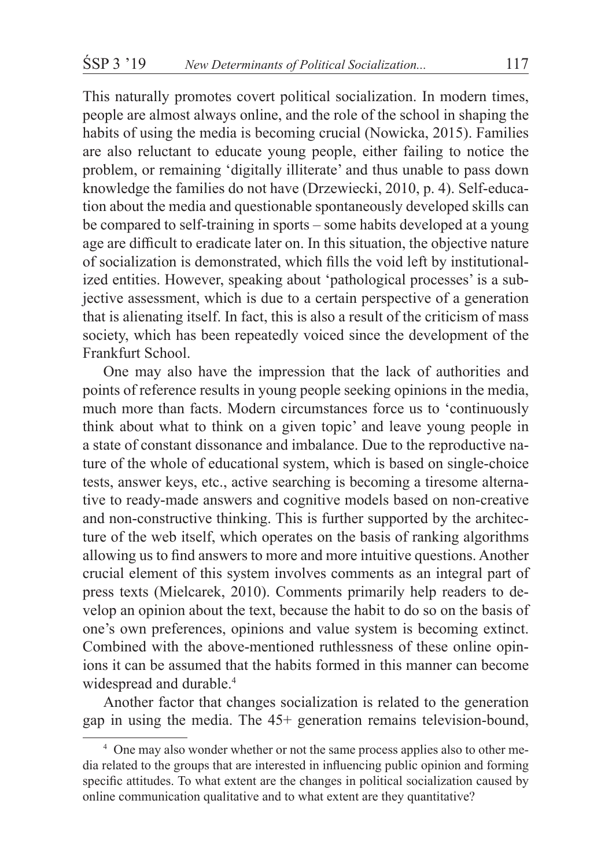This naturally promotes covert political socialization. In modern times, people are almost always online, and the role of the school in shaping the habits of using the media is becoming crucial (Nowicka, 2015). Families are also reluctant to educate young people, either failing to notice the problem, or remaining 'digitally illiterate' and thus unable to pass down knowledge the families do not have (Drzewiecki, 2010, p. 4). Self-education about the media and questionable spontaneously developed skills can be compared to self-training in sports – some habits developed at a young age are difficult to eradicate later on. In this situation, the objective nature of socialization is demonstrated, which fills the void left by institutionalized entities. However, speaking about 'pathological processes' is a subjective assessment, which is due to a certain perspective of a generation that is alienating itself. In fact, this is also a result of the criticism of mass society, which has been repeatedly voiced since the development of the Frankfurt School.

One may also have the impression that the lack of authorities and points of reference results in young people seeking opinions in the media, much more than facts. Modern circumstances force us to 'continuously think about what to think on a given topic' and leave young people in a state of constant dissonance and imbalance. Due to the reproductive nature of the whole of educational system, which is based on single-choice tests, answer keys, etc., active searching is becoming a tiresome alternative to ready-made answers and cognitive models based on non-creative and non-constructive thinking. This is further supported by the architecture of the web itself, which operates on the basis of ranking algorithms allowing us to find answers to more and more intuitive questions. Another crucial element of this system involves comments as an integral part of press texts (Mielcarek, 2010). Comments primarily help readers to develop an opinion about the text, because the habit to do so on the basis of one's own preferences, opinions and value system is becoming extinct. Combined with the above-mentioned ruthlessness of these online opinions it can be assumed that the habits formed in this manner can become widespread and durable.<sup>4</sup>

Another factor that changes socialization is related to the generation gap in using the media. The 45+ generation remains television-bound,

<sup>4</sup> One may also wonder whether or not the same process applies also to other media related to the groups that are interested in influencing public opinion and forming specific attitudes. To what extent are the changes in political socialization caused by online communication qualitative and to what extent are they quantitative?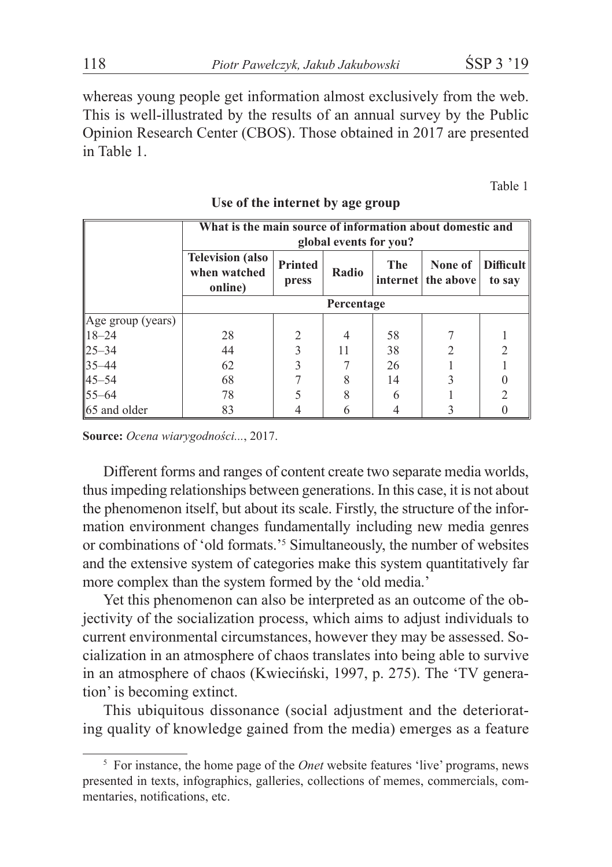whereas young people get information almost exclusively from the web. This is well-illustrated by the results of an annual survey by the Public Opinion Research Center (CBOS). Those obtained in 2017 are presented in Table 1.

Table 1

|                   | What is the main source of information about domestic and |                         |       |     |                               |                            |  |
|-------------------|-----------------------------------------------------------|-------------------------|-------|-----|-------------------------------|----------------------------|--|
|                   | global events for you?                                    |                         |       |     |                               |                            |  |
|                   | <b>Television (also</b><br>when watched<br>online)        | <b>Printed</b><br>press | Radio | The | None of<br>internet the above | <b>Difficult</b><br>to say |  |
|                   | Percentage                                                |                         |       |     |                               |                            |  |
| Age group (years) |                                                           |                         |       |     |                               |                            |  |
| $18 - 24$         | 28                                                        | 2                       | 4     | 58  |                               |                            |  |
| $ 25 - 34 $       | 44                                                        |                         | 11    | 38  |                               |                            |  |
| $ 35 - 44 $       | 62                                                        |                         |       | 26  |                               |                            |  |
| $45 - 54$         | 68                                                        |                         |       | 14  |                               |                            |  |
| $55 - 64$         | 78                                                        |                         |       | 6   |                               |                            |  |
| 165 and older     | 83                                                        |                         |       |     |                               |                            |  |

### **Use of the internet by age group**

**Source:** *Ocena wiarygodności...*, 2017.

Different forms and ranges of content create two separate media worlds, thus impeding relationships between generations. In this case, it is not about the phenomenon itself, but about its scale. Firstly, the structure of the information environment changes fundamentally including new media genres or combinations of 'old formats.'<sup>5</sup> Simultaneously, the number of websites and the extensive system of categories make this system quantitatively far more complex than the system formed by the 'old media.'

Yet this phenomenon can also be interpreted as an outcome of the objectivity of the socialization process, which aims to adjust individuals to current environmental circumstances, however they may be assessed. Socialization in an atmosphere of chaos translates into being able to survive in an atmosphere of chaos (Kwieciński, 1997, p. 275). The 'TV generation' is becoming extinct.

This ubiquitous dissonance (social adjustment and the deteriorating quality of knowledge gained from the media) emerges as a feature

<sup>5</sup> For instance, the home page of the *Onet* website features 'live' programs, news presented in texts, infographics, galleries, collections of memes, commercials, commentaries, notifications, etc.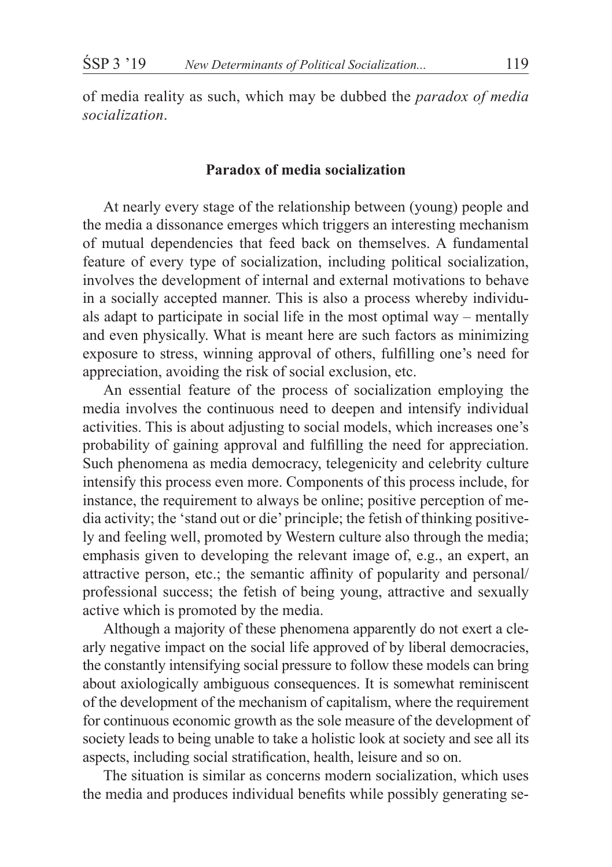of media reality as such, which may be dubbed the *paradox of media socialization*.

## **Paradox of media socialization**

At nearly every stage of the relationship between (young) people and the media a dissonance emerges which triggers an interesting mechanism of mutual dependencies that feed back on themselves. A fundamental feature of every type of socialization, including political socialization, involves the development of internal and external motivations to behave in a socially accepted manner. This is also a process whereby individuals adapt to participate in social life in the most optimal way – mentally and even physically. What is meant here are such factors as minimizing exposure to stress, winning approval of others, fulfilling one's need for appreciation, avoiding the risk of social exclusion, etc.

An essential feature of the process of socialization employing the media involves the continuous need to deepen and intensify individual activities. This is about adjusting to social models, which increases one's probability of gaining approval and fulfilling the need for appreciation. Such phenomena as media democracy, telegenicity and celebrity culture intensify this process even more. Components of this process include, for instance, the requirement to always be online; positive perception of media activity; the 'stand out or die' principle; the fetish of thinking positively and feeling well, promoted by Western culture also through the media; emphasis given to developing the relevant image of, e.g., an expert, an attractive person, etc.; the semantic affinity of popularity and personal/ professional success; the fetish of being young, attractive and sexually active which is promoted by the media.

Although a majority of these phenomena apparently do not exert a clearly negative impact on the social life approved of by liberal democracies, the constantly intensifying social pressure to follow these models can bring about axiologically ambiguous consequences. It is somewhat reminiscent of the development of the mechanism of capitalism, where the requirement for continuous economic growth as the sole measure of the development of society leads to being unable to take a holistic look at society and see all its aspects, including social stratification, health, leisure and so on.

The situation is similar as concerns modern socialization, which uses the media and produces individual benefits while possibly generating se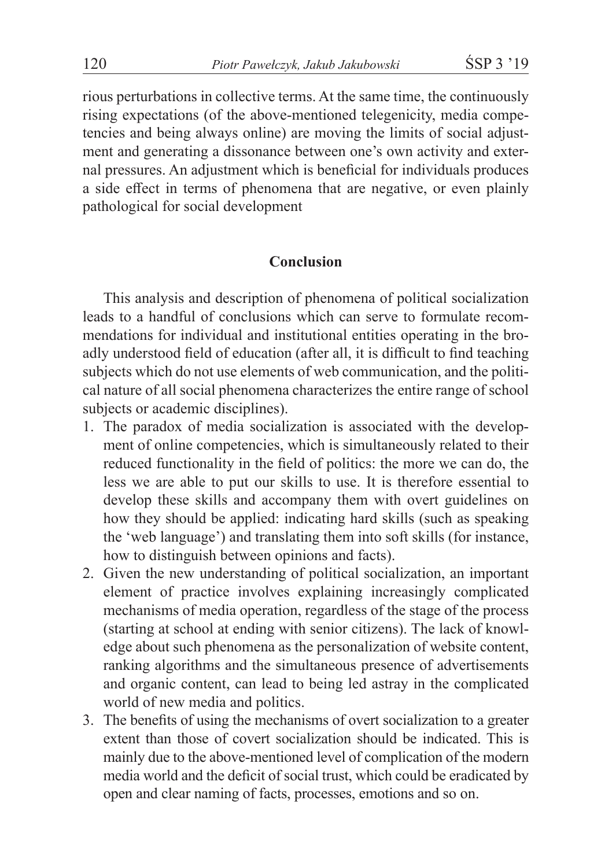rious perturbations in collective terms. At the same time, the continuously rising expectations (of the above-mentioned telegenicity, media competencies and being always online) are moving the limits of social adjustment and generating a dissonance between one's own activity and external pressures. An adjustment which is beneficial for individuals produces a side effect in terms of phenomena that are negative, or even plainly pathological for social development

### **Conclusion**

This analysis and description of phenomena of political socialization leads to a handful of conclusions which can serve to formulate recommendations for individual and institutional entities operating in the broadly understood field of education (after all, it is difficult to find teaching subjects which do not use elements of web communication, and the political nature of all social phenomena characterizes the entire range of school subjects or academic disciplines).

- 1. The paradox of media socialization is associated with the development of online competencies, which is simultaneously related to their reduced functionality in the field of politics: the more we can do, the less we are able to put our skills to use. It is therefore essential to develop these skills and accompany them with overt guidelines on how they should be applied: indicating hard skills (such as speaking the 'web language') and translating them into soft skills (for instance, how to distinguish between opinions and facts).
- 2. Given the new understanding of political socialization, an important element of practice involves explaining increasingly complicated mechanisms of media operation, regardless of the stage of the process (starting at school at ending with senior citizens). The lack of knowledge about such phenomena as the personalization of website content, ranking algorithms and the simultaneous presence of advertisements and organic content, can lead to being led astray in the complicated world of new media and politics.
- 3. The benefits of using the mechanisms of overt socialization to a greater extent than those of covert socialization should be indicated. This is mainly due to the above-mentioned level of complication of the modern media world and the deficit of social trust, which could be eradicated by open and clear naming of facts, processes, emotions and so on.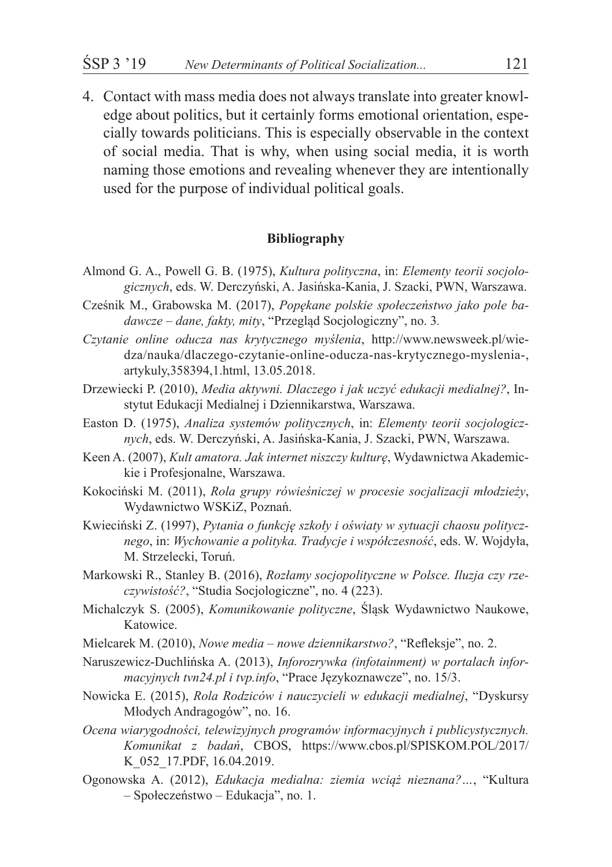4. Contact with mass media does not always translate into greater knowledge about politics, but it certainly forms emotional orientation, especially towards politicians. This is especially observable in the context of social media. That is why, when using social media, it is worth naming those emotions and revealing whenever they are intentionally used for the purpose of individual political goals.

#### **Bibliography**

- Almond G. A., Powell G. B. (1975), *Kultura polityczna*, in: *Elementy teorii socjologicznych*, eds. W. Derczyński, A. Jasińska-Kania, J. Szacki, PWN, Warszawa.
- Cześnik M., Grabowska M. (2017), *Popękane polskie społeczeństwo jako pole badawcze – dane, fakty, mity*, "Przegląd Socjologiczny", no. 3*.*
- *Czytanie online oducza nas krytycznego myślenia*, http://www.newsweek.pl/wiedza/nauka/dlaczego-czytanie-online-oducza-nas-krytycznego-myslenia-, artykuly,358394,1.html, 13.05.2018.
- Drzewiecki P. (2010), *Media aktywni. Dlaczego i jak uczyć edukacji medialnej?*, Instytut Edukacji Medialnej i Dziennikarstwa, Warszawa.
- Easton D. (1975), *Analiza systemów politycznych*, in: *Elementy teorii socjologicznych*, eds. W. Derczyński, A. Jasińska-Kania, J. Szacki, PWN, Warszawa.
- Keen A. (2007), *Kult amatora. Jak internet niszczy kulturę*, Wydawnictwa Akademickie i Profesjonalne, Warszawa.
- Kokociński M. (2011), *Rola grupy rówieśniczej w procesie socjalizacji młodzieży*, Wydawnictwo WSKiZ, Poznań.
- Kwieciński Z. (1997), *Pytania o funkcję szkoły i oświaty w sytuacji chaosu politycznego*, in: *Wychowanie a polityka. Tradycje i współczesność*, eds. W. Wojdyła, M. Strzelecki, Toruń.
- Markowski R., Stanley B. (2016), *Rozłamy socjopolityczne w Polsce. Iluzja czy rzeczywistość?*, "Studia Socjologiczne", no. 4 (223).
- Michalczyk S. (2005), *Komunikowanie polityczne*, Śląsk Wydawnictwo Naukowe, Katowice.
- Mielcarek M. (2010), *Nowe media – nowe dziennikarstwo?*, "Refleksje", no. 2.
- Naruszewicz-Duchlińska A. (2013), *Inforozrywka (infotainment) w portalach informacyjnych tvn24.pl i tvp.info*, "Prace Językoznawcze", no. 15/3.
- Nowicka E. (2015), *Rola Rodziców i nauczycieli w edukacji medialnej*, "Dyskursy Młodych Andragogów", no. 16.
- *Ocena wiarygodności, telewizyjnych programów informacyjnych i publicystycznych. Komunikat z badań*, CBOS, https://www.cbos.pl/SPISKOM.POL/2017/ K\_052\_17.PDF, 16.04.2019.
- Ogonowska A. (2012), *Edukacja medialna: ziemia wciąż nieznana?…*, "Kultura – Społeczeństwo – Edukacja", no. 1.